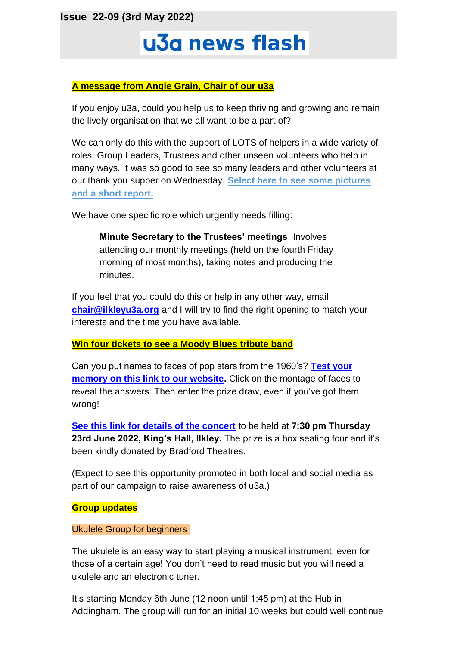**Issue 22-09 (3rd May 2022)**

# u3a news flash

# **A message from Angie Grain, Chair of our u3a**

If you enjoy u3a, could you help us to keep thriving and growing and remain the lively organisation that we all want to be a part of?

We can only do this with the support of LOTS of helpers in a wide variety of roles: Group Leaders, Trustees and other unseen volunteers who help in many ways. It was so good to see so many leaders and other volunteers at our thank you supper on Wednesday. **[Select here to see some pictures](https://ilkleyu3a.org/resources/Documents/News_and_Publicity/2022/2022-04-27%20Thank%20You%20Supper%20Report.pdf)  [and a short report.](https://ilkleyu3a.org/resources/Documents/News_and_Publicity/2022/2022-04-27%20Thank%20You%20Supper%20Report.pdf)**

We have one specific role which urgently needs filling:

**Minute Secretary to the Trustees' meetings**. Involves attending our monthly meetings (held on the fourth Friday morning of most months), taking notes and producing the minutes.

If you feel that you could do this or help in any other way, email **[chair@ilkleyu3a.org](mailto:chair@ilkleyu3a.org)** and I will try to find the right opening to match your interests and the time you have available.

## **Win four tickets to see a Moody Blues tribute band**

Can you put names to faces of pop stars from the 1960's? **[Test your](http://ilkleyu3a.org/#HQUIZ)  [memory on this link to our website.](http://ilkleyu3a.org/#HQUIZ)** Click on the montage of faces to reveal the answers. Then enter the prize draw, even if you've got them wrong!

**[See this link for details of the concert](https://www.bradford-theatres.co.uk/whats-on/go-now-the-music-of-the-moody-blues)** to be held at **7:30 pm Thursday 23rd June 2022, King's Hall, Ilkley.** The prize is a box seating four and it's been kindly donated by Bradford Theatres.

(Expect to see this opportunity promoted in both local and social media as part of our campaign to raise awareness of u3a.)

## **Group updates**

## Ukulele Group for beginners

The ukulele is an easy way to start playing a musical instrument, even for those of a certain age! You don't need to read music but you will need a ukulele and an electronic tuner.

It's starting Monday 6th June (12 noon until 1:45 pm) at the Hub in Addingham. The group will run for an initial 10 weeks but could well continue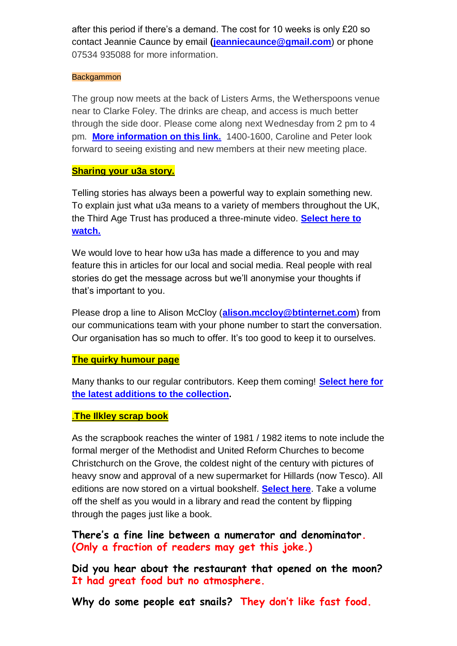after this period if there's a demand. The cost for 10 weeks is only £20 so contact Jeannie Caunce by email **[\(jeanniecaunce@gmail.com](mailto:jeanniecaunce@gmail.com)**) or phone 07534 935088 for more information.

#### **Backgammon**

The group now meets at the back of Listers Arms, the Wetherspoons venue near to Clarke Foley. The drinks are cheap, and access is much better through the side door. Please come along next Wednesday from 2 pm to 4 pm. **[More information on this link.](https://ilkleyu3a.org/Backgammon)** 1400-1600, Caroline and Peter look forward to seeing existing and new members at their new meeting place.

# **Sharing your u3a story.**

Telling stories has always been a powerful way to explain something new. To explain just what u3a means to a variety of members throughout the UK, the Third Age Trust has produced a three-minute video. **[Select here to](https://youtu.be/DgICh7ZyQDE)  [watch.](https://youtu.be/DgICh7ZyQDE)**

We would love to hear how u3a has made a difference to you and may feature this in articles for our local and social media. Real people with real stories do get the message across but we'll anonymise your thoughts if that's important to you.

Please drop a line to Alison McCloy (**[alison.mccloy@btinternet.com](mailto:alison.mccloy@btinternet.com)**) from our communications team with your phone number to start the conversation. Our organisation has so much to offer. It's too good to keep it to ourselves.

## **The quirky humour page**

Many thanks to our regular contributors. Keep them coming! **[Select here for](https://ilkleyu3a.org/Lockdown-Support-Quirky-Humour)  [the latest additions to the collection.](https://ilkleyu3a.org/Lockdown-Support-Quirky-Humour)**

# .**The Ilkley scrap book**

As the scrapbook reaches the winter of 1981 / 1982 items to note include the formal merger of the Methodist and United Reform Churches to become Christchurch on the Grove, the coldest night of the century with pictures of heavy snow and approval of a new supermarket for Hillards (now Tesco). All editions are now stored on a virtual bookshelf. **[Select here](https://ilkleyu3a.org/resources/Documents/PDF-Flip/bookshelf-Scrapbooks.html)**. Take a volume off the shelf as you would in a library and read the content by flipping through the pages just like a book.

**There's a fine line between a numerator and denominator. (Only a fraction of readers may get this joke.)**

**Did you hear about the restaurant that opened on the moon? It had great food but no atmosphere.**

**Why do some people eat snails? They don't like fast food.**